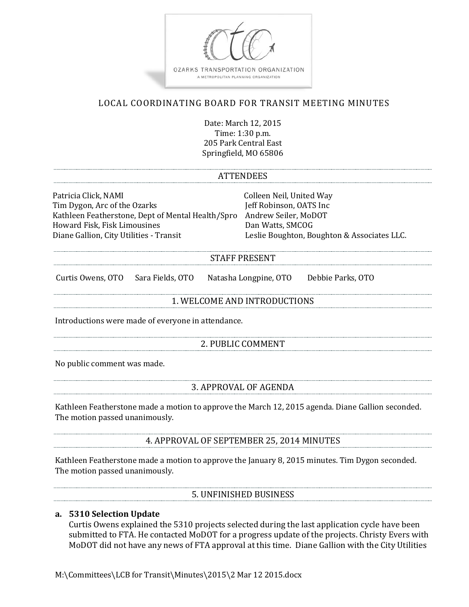

# LOCAL COORDINATING BOARD FOR TRANSIT MEETING MINUTES

Date: March 12, 2015 Time: 1:30 p.m. 205 Park Central East Springfield, MO 65806

#### ATTENDEES

Patricia Click, NAMI Colleen Neil, United Way Tim Dygon, Arc of the Ozarks Kathleen Featherstone, Dept of Mental Health/Spro Andrew Seiler, MoDOT Howard Fisk, Fisk Limousines<br>Diane Gallion, City Utilities - Transit

Leslie Boughton, Boughton & Associates LLC.

### STAFF PRESENT

Curtis Owens, OTO Sara Fields, OTO Natasha Longpine, OTO Debbie Parks, OTO

#### 1. WELCOME AND INTRODUCTIONS

Introductions were made of everyone in attendance.

### 2. PUBLIC COMMENT

No public comment was made.

### 3. APPROVAL OF AGENDA

Kathleen Featherstone made a motion to approve the March 12, 2015 agenda. Diane Gallion seconded. The motion passed unanimously.

4. APPROVAL OF SEPTEMBER 25, 2014 MINUTES

Kathleen Featherstone made a motion to approve the January 8, 2015 minutes. Tim Dygon seconded. The motion passed unanimously.

5. UNFINISHED BUSINESS

### **a. 5310 Selection Update**

Curtis Owens explained the 5310 projects selected during the last application cycle have been submitted to FTA. He contacted MoDOT for a progress update of the projects. Christy Evers with MoDOT did not have any news of FTA approval at this time. Diane Gallion with the City Utilities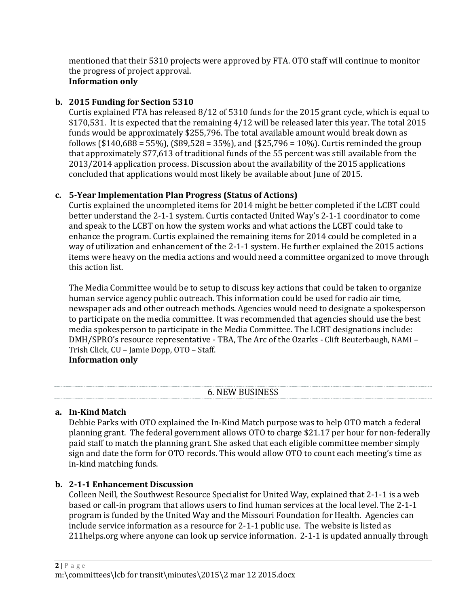mentioned that their 5310 projects were approved by FTA. OTO staff will continue to monitor the progress of project approval.

# **Information only**

### **b. 2015 Funding for Section 5310**

Curtis explained FTA has released 8/12 of 5310 funds for the 2015 grant cycle, which is equal to \$170,531. It is expected that the remaining 4/12 will be released later this year. The total 2015 funds would be approximately \$255,796. The total available amount would break down as follows (\$140,688 = 55%), (\$89,528 = 35%), and (\$25,796 = 10%). Curtis reminded the group that approximately \$77,613 of traditional funds of the 55 percent was still available from the 2013/2014 application process. Discussion about the availability of the 2015 applications concluded that applications would most likely be available about June of 2015.

### **c. 5-Year Implementation Plan Progress (Status of Actions)**

Curtis explained the uncompleted items for 2014 might be better completed if the LCBT could better understand the 2-1-1 system. Curtis contacted United Way's 2-1-1 coordinator to come and speak to the LCBT on how the system works and what actions the LCBT could take to enhance the program. Curtis explained the remaining items for 2014 could be completed in a way of utilization and enhancement of the 2-1-1 system. He further explained the 2015 actions items were heavy on the media actions and would need a committee organized to move through this action list.

The Media Committee would be to setup to discuss key actions that could be taken to organize human service agency public outreach. This information could be used for radio air time, newspaper ads and other outreach methods. Agencies would need to designate a spokesperson to participate on the media committee. It was recommended that agencies should use the best media spokesperson to participate in the Media Committee. The LCBT designations include: DMH/SPRO's resource representative - TBA, The Arc of the Ozarks - Clift Beuterbaugh, NAMI – Trish Click, CU – Jamie Dopp, OTO – Staff. **Information only**

## 6. NEW BUSINESS

### **a. In-Kind Match**

Debbie Parks with OTO explained the In-Kind Match purpose was to help OTO match a federal planning grant. The federal government allows OTO to charge \$21.17 per hour for non-federally paid staff to match the planning grant. She asked that each eligible committee member simply sign and date the form for OTO records. This would allow OTO to count each meeting's time as in-kind matching funds.

## **b. 2-1-1 Enhancement Discussion**

Colleen Neill, the Southwest Resource Specialist for United Way, explained that 2-1-1 is a web based or call-in program that allows users to find human services at the local level. The 2-1-1 program is funded by the United Way and the Missouri Foundation for Health. Agencies can include service information as a resource for 2-1-1 public use. The website is listed as 211helps.org where anyone can look up service information. 2-1-1 is updated annually through